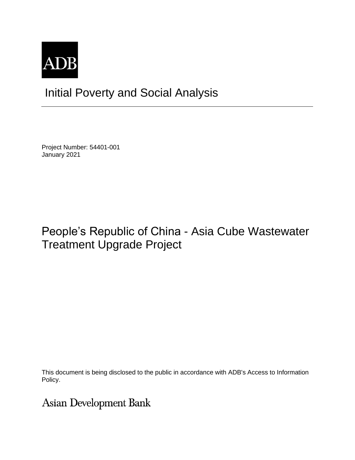

# Initial Poverty and Social Analysis

Project Number: 54401-001 January 2021

## People's Republic of China - Asia Cube Wastewater Treatment Upgrade Project

This document is being disclosed to the public in accordance with ADB's Access to Information Policy.

**Asian Development Bank**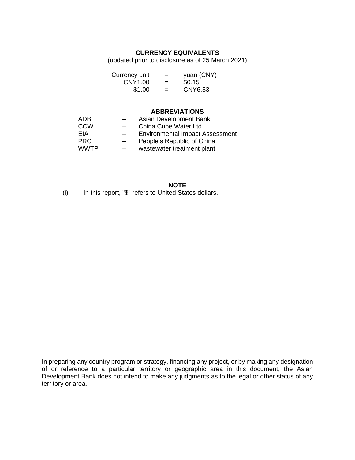#### **CURRENCY EQUIVALENTS**

(updated prior to disclosure as of 25 March 2021)

| Currency unit | -   | yuan (CNY) |
|---------------|-----|------------|
| CNY1.00       | $=$ | \$0.15     |
| \$1.00        | =   | CNY6.53    |

#### **ABBREVIATIONS**

| ADB         | Asian Development Bank                 |
|-------------|----------------------------------------|
| CCW         | China Cube Water Ltd                   |
| EIA         | <b>Environmental Impact Assessment</b> |
| <b>PRC</b>  | People's Republic of China             |
| <b>WWTP</b> | wastewater treatment plant             |

**NOTE** (i) In this report, "\$" refers to United States dollars.

In preparing any country program or strategy, financing any project, or by making any designation of or reference to a particular territory or geographic area in this document, the Asian Development Bank does not intend to make any judgments as to the legal or other status of any territory or area.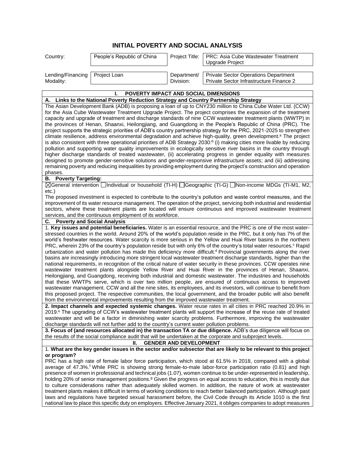### **INITIAL POVERTY AND SOCIAL ANALYSIS**

| Country:                         | People's Republic of China |             | Project Title:   PRC: Asia Cube Wastewater Treatment<br>Upgrade Project |
|----------------------------------|----------------------------|-------------|-------------------------------------------------------------------------|
| Lending/Financing   Project Loan |                            | Department/ | Private Sector Operations Department                                    |
| Modality:                        |                            | Division:   | Private Sector Infrastructure Finance 2                                 |

| POVERTY IMPACT AND SOCIAL DIMENSIONS                                                                                                                                                                                                                                                                                                                                                                                                                                                                                                                                                                                                                                                                                                                                                                                                                                                                                                                                                                                                                                                                                                                                                                                                                                                                                                                                                                                                                                                                                                                                                                                                                                                                                                                                                                                                                                                                                                                                                                                                                                                                                                                                                                                                               |
|----------------------------------------------------------------------------------------------------------------------------------------------------------------------------------------------------------------------------------------------------------------------------------------------------------------------------------------------------------------------------------------------------------------------------------------------------------------------------------------------------------------------------------------------------------------------------------------------------------------------------------------------------------------------------------------------------------------------------------------------------------------------------------------------------------------------------------------------------------------------------------------------------------------------------------------------------------------------------------------------------------------------------------------------------------------------------------------------------------------------------------------------------------------------------------------------------------------------------------------------------------------------------------------------------------------------------------------------------------------------------------------------------------------------------------------------------------------------------------------------------------------------------------------------------------------------------------------------------------------------------------------------------------------------------------------------------------------------------------------------------------------------------------------------------------------------------------------------------------------------------------------------------------------------------------------------------------------------------------------------------------------------------------------------------------------------------------------------------------------------------------------------------------------------------------------------------------------------------------------------------|
| Links to the National Poverty Reduction Strategy and Country Partnership Strategy<br>Α.                                                                                                                                                                                                                                                                                                                                                                                                                                                                                                                                                                                                                                                                                                                                                                                                                                                                                                                                                                                                                                                                                                                                                                                                                                                                                                                                                                                                                                                                                                                                                                                                                                                                                                                                                                                                                                                                                                                                                                                                                                                                                                                                                            |
| The Asian Development Bank (ADB) is proposing a loan of up to CNY230 million to China Cube Water Ltd. (CCW)<br>for the Asia Cube Wastewater Treatment Upgrade Project. The project comprises the expansion of the treatment<br>capacity and upgrade of treatment and discharge standards of nine CCW wastewater treatment plants (WWTP) in<br>the provinces of Henan, Shaanxi, Heilongjiang, and Guangdong in the People's Republic of China (PRC). The<br>project supports the strategic priorities of ADB's country partnership strategy for the PRC, 2021-2025 to strengthen<br>climate resilience, address environmental degradation and achieve high-quality, green development. <sup>a</sup> The project<br>is also consistent with three operational priorities of ADB Strategy 2030: <sup>b</sup> (i) making cities more livable by reducing<br>pollution and supporting water quality improvements in ecologically sensitive river basins in the country through<br>higher discharge standards of treated wastewater, (ii) accelerating progress in gender equality with measures<br>designed to promote gender-sensitive solutions and gender-responsive infrastructure assets; and (iii) addressing<br>remaining poverty and reducing inequalities by providing employment during the project's construction and operation<br>phases.                                                                                                                                                                                                                                                                                                                                                                                                                                                                                                                                                                                                                                                                                                                                                                                                                                                                                                   |
| <b>B.</b> Poverty Targeting:                                                                                                                                                                                                                                                                                                                                                                                                                                                                                                                                                                                                                                                                                                                                                                                                                                                                                                                                                                                                                                                                                                                                                                                                                                                                                                                                                                                                                                                                                                                                                                                                                                                                                                                                                                                                                                                                                                                                                                                                                                                                                                                                                                                                                       |
| ⊠General intervention <i>[condit individual or household</i> (TI-H) [ <i>Geographic</i> (TI-G) [ <i>Non-income MDGs</i> (TI-M1, M2,                                                                                                                                                                                                                                                                                                                                                                                                                                                                                                                                                                                                                                                                                                                                                                                                                                                                                                                                                                                                                                                                                                                                                                                                                                                                                                                                                                                                                                                                                                                                                                                                                                                                                                                                                                                                                                                                                                                                                                                                                                                                                                                |
| etc.)<br>The proposed investment is expected to contribute to the country's pollution and waste control measures, and the<br>improvement of its water resource management. The operation of the project, servicing both industrial and residential<br>sectors, where these treatment plants are located will ensure continuous and improved wastewater treatment<br>services, and the continuous employment of its workforce.                                                                                                                                                                                                                                                                                                                                                                                                                                                                                                                                                                                                                                                                                                                                                                                                                                                                                                                                                                                                                                                                                                                                                                                                                                                                                                                                                                                                                                                                                                                                                                                                                                                                                                                                                                                                                      |
| <b>Poverty and Social Analysis</b><br>С.                                                                                                                                                                                                                                                                                                                                                                                                                                                                                                                                                                                                                                                                                                                                                                                                                                                                                                                                                                                                                                                                                                                                                                                                                                                                                                                                                                                                                                                                                                                                                                                                                                                                                                                                                                                                                                                                                                                                                                                                                                                                                                                                                                                                           |
| 1. Key issues and potential beneficiaries. Water is an essential resource, and the PRC is one of the most water-<br>stressed countries in the world. Around 20% of the world's population reside in the PRC, but it only has 7% of the<br>world's freshwater resources. Water scarcity is more serious in the Yellow and Huai River basins in the northern<br>PRC, wherein 23% of the country's population reside but with only 6% of the country's total water resources. <sup>c</sup> Rapid<br>urbanization and water pollution has made this deficiency more difficult. <sup>d</sup> Provincial governments along the river<br>basins are increasingly introducing more stringent local wastewater treatment discharge standards, higher than the<br>national requirements, in recognition of the critical nature of water security in these provinces. CCW operates nine<br>wastewater treatment plants alongside Yellow River and Huai River in the provinces of Henan, Shaanxi,<br>Heilongjiang, and Guangdong, receiving both industrial and domestic wastewater. The industries and households<br>that these WWTPs serve, which is over two million people, are ensured of continuous access to improved<br>wastewater management. CCW and all the nine sites, its employees, and its investors, will continue to benefit from<br>this proposed project. The respective communities, the local government, and the broader public will also benefit<br>from the environmental improvements resulting from the improved wastewater treatment.<br>2. Impact channels and expected systemic changes. Water reuse rates in all cities in PRC reached 20.9% in<br>2019. <sup>e</sup> The upgrading of CCW's wastewater treatment plants will support the increase of the reuse rate of treated<br>wastewater and will be a factor in diminishing water scarcity problems. Furthermore, improving the wastewater<br>discharge standards will not further add to the country's current water pollution problems.<br>3. Focus of (and resources allocated in) the transaction TA or due diligence. ADB's due diligence will focus on<br>the results of the social compliance audit that will be undertaken at the corporate and subproject levels. |
| <b>GENDER AND DEVELOPMENT</b><br>Ш.                                                                                                                                                                                                                                                                                                                                                                                                                                                                                                                                                                                                                                                                                                                                                                                                                                                                                                                                                                                                                                                                                                                                                                                                                                                                                                                                                                                                                                                                                                                                                                                                                                                                                                                                                                                                                                                                                                                                                                                                                                                                                                                                                                                                                |
| 1. What are the key gender issues in the sector and/or subsector that are likely to be relevant to this project                                                                                                                                                                                                                                                                                                                                                                                                                                                                                                                                                                                                                                                                                                                                                                                                                                                                                                                                                                                                                                                                                                                                                                                                                                                                                                                                                                                                                                                                                                                                                                                                                                                                                                                                                                                                                                                                                                                                                                                                                                                                                                                                    |
| or program?<br>PRC has a high rate of female labor force participation, which stood at 61.5% in 2018, compared with a global<br>average of 47.3%. <sup>f</sup> While PRC is showing strong female-to-male labor-force participation ratio (0.81) and high<br>presence of women in professional and technical jobs (1.07), women continue to be under-represented in leadership,<br>holding 20% of senior management positions. <sup>9</sup> Given the progress on equal access to education, this is mostly due<br>to culture considerations rather than adequately skilled women. In addition, the nature of work at wastewater<br>treatment plants makes it difficult in terms of working conditions to reach better balanced participation. Although past<br>laws and regulations have targeted sexual harassment before, the Civil Code through its Article 1010 is the first<br>national law to place this specific duty on employers. Effective January 2021, it obliges companies to adopt measures                                                                                                                                                                                                                                                                                                                                                                                                                                                                                                                                                                                                                                                                                                                                                                                                                                                                                                                                                                                                                                                                                                                                                                                                                                         |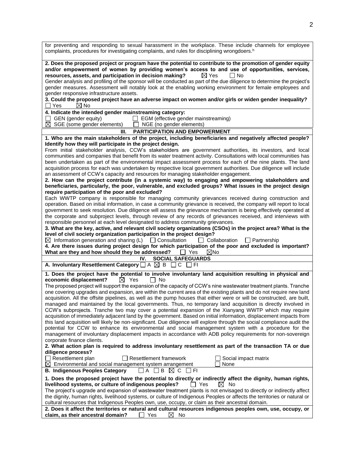| for preventing and responding to sexual harassment in the workplace. These include channels for employee<br>complaints, procedures for investigating complaints, and rules for disciplining wrongdoers. <sup>h</sup>                                                                                                                                                                                                                                                                                                                                                                     |
|------------------------------------------------------------------------------------------------------------------------------------------------------------------------------------------------------------------------------------------------------------------------------------------------------------------------------------------------------------------------------------------------------------------------------------------------------------------------------------------------------------------------------------------------------------------------------------------|
| 2. Does the proposed project or program have the potential to contribute to the promotion of gender equity<br>and/or empowerment of women by providing women's access to and use of opportunities, services,<br>resources, assets, and participation in decision making?<br>$\boxtimes$ Yes<br>l INo<br>Gender analysis and profiling of the sponsor will be conducted as part of the due diligence to determine the project's<br>gender measures. Assessment will notably look at the enabling working environment for female employees and<br>gender responsive infrastructure assets. |
| 3. Could the proposed project have an adverse impact on women and/or girls or widen gender inequality?<br>⊠ No<br>∐ Yes                                                                                                                                                                                                                                                                                                                                                                                                                                                                  |
| 4. Indicate the intended gender mainstreaming category:<br>$\Box$ GEN (gender equity)<br>$\Box$ EGM (effective gender mainstreaming)<br>$\boxtimes$ SGE (some gender elements)<br>$\Box$ NGE (no gender elements)                                                                                                                                                                                                                                                                                                                                                                        |
| PARTICIPATION AND EMPOWERMENT<br>Ш.                                                                                                                                                                                                                                                                                                                                                                                                                                                                                                                                                      |
| 1. Who are the main stakeholders of the project, including beneficiaries and negatively affected people?                                                                                                                                                                                                                                                                                                                                                                                                                                                                                 |
| Identify how they will participate in the project design.                                                                                                                                                                                                                                                                                                                                                                                                                                                                                                                                |
| From initial stakeholder analysis, CCW's stakeholders are government authorities, its investors, and local<br>communities and companies that benefit from its water treatment activity. Consultations with local communities has<br>been undertaken as part of the environmental impact assessment process for each of the nine plants. The land<br>acquisition process for each was undertaken by respective local government authorities. Due diligence will include                                                                                                                   |
| an assessment of CCW's capacity and resources for managing stakeholder engagement.                                                                                                                                                                                                                                                                                                                                                                                                                                                                                                       |
| 2. How can the project contribute (in a systemic way) to engaging and empowering stakeholders and                                                                                                                                                                                                                                                                                                                                                                                                                                                                                        |
| beneficiaries, particularly, the poor, vulnerable, and excluded groups? What issues in the project design                                                                                                                                                                                                                                                                                                                                                                                                                                                                                |
| require participation of the poor and excluded?                                                                                                                                                                                                                                                                                                                                                                                                                                                                                                                                          |
| Each WWTP company is responsible for managing community grievances received during construction and                                                                                                                                                                                                                                                                                                                                                                                                                                                                                      |
| operation. Based on initial information, in case a community grievance is received, the company will report to local                                                                                                                                                                                                                                                                                                                                                                                                                                                                     |
| government to seek resolution. Due diligence will assess the grievance mechanism is being effectively operated at                                                                                                                                                                                                                                                                                                                                                                                                                                                                        |
| the corporate and subproject levels, through review of any records of grievances received, and interviews with                                                                                                                                                                                                                                                                                                                                                                                                                                                                           |
| responsible personnel at each level designated to address community grievances.                                                                                                                                                                                                                                                                                                                                                                                                                                                                                                          |
| 3. What are the key, active, and relevant civil society organizations (CSOs) in the project area? What is the<br>level of civil society organization participation in the project design?                                                                                                                                                                                                                                                                                                                                                                                                |
| $\boxtimes$ Information generation and sharing (L) $\Box$ Consultation<br>$\Box$ Collaboration<br>$\Box$ Partnership                                                                                                                                                                                                                                                                                                                                                                                                                                                                     |
| 4. Are there issues during project design for which participation of the poor and excluded is important?                                                                                                                                                                                                                                                                                                                                                                                                                                                                                 |
| What are they and how should they be addressed? $\Box$ Yes<br>$\boxtimes$ No                                                                                                                                                                                                                                                                                                                                                                                                                                                                                                             |
| <b>SOCIAL SAFEGUARDS</b><br>IV.                                                                                                                                                                                                                                                                                                                                                                                                                                                                                                                                                          |
| A. Involuntary Resettlement Category $\Box$ A $\boxtimes$ B $\Box$ C $\Box$ FI                                                                                                                                                                                                                                                                                                                                                                                                                                                                                                           |
|                                                                                                                                                                                                                                                                                                                                                                                                                                                                                                                                                                                          |
| 1. Does the project have the potential to involve involuntary land acquisition resulting in physical and<br>$\boxtimes$ Yes<br>$\Box$ No<br>economic displacement?<br>The proposed project will support the expansion of the capacity of CCW's nine wastewater treatment plants. Tranche                                                                                                                                                                                                                                                                                                 |
| one covering upgrades and expansion, are within the current area of the existing plants and do not require new land                                                                                                                                                                                                                                                                                                                                                                                                                                                                      |
| acquisition. All the offsite pipelines, as well as the pump houses that either were or will be constructed, are built,                                                                                                                                                                                                                                                                                                                                                                                                                                                                   |
| managed and maintained by the local governments. Thus, no temporary land acquisition is directly involved in                                                                                                                                                                                                                                                                                                                                                                                                                                                                             |
| CCW's subprojects. Tranche two may cover a potential expansion of the Xianyang WWTP which may require                                                                                                                                                                                                                                                                                                                                                                                                                                                                                    |
| acquisition of immediately adjacent land by the government. Based on initial information, displacement impacts from                                                                                                                                                                                                                                                                                                                                                                                                                                                                      |
| this land acquisition will likely be non-significant. Due diligence will explore through the social compliance audit the                                                                                                                                                                                                                                                                                                                                                                                                                                                                 |
| potential for CCW to enhance its environmental and social management system with a procedure for the                                                                                                                                                                                                                                                                                                                                                                                                                                                                                     |
| management of involuntary displacement impacts in accordance with ADB policy requirements for non-sovereign                                                                                                                                                                                                                                                                                                                                                                                                                                                                              |
| corporate finance clients.                                                                                                                                                                                                                                                                                                                                                                                                                                                                                                                                                               |
| 2. What action plan is required to address involuntary resettlement as part of the transaction TA or due                                                                                                                                                                                                                                                                                                                                                                                                                                                                                 |
| diligence process?                                                                                                                                                                                                                                                                                                                                                                                                                                                                                                                                                                       |
| $\Box$ Resettlement plan<br>Resettlement framework<br>Social impact matrix                                                                                                                                                                                                                                                                                                                                                                                                                                                                                                               |
| $\boxtimes$ Environmental and social management system arrangement<br>None<br><b>B. Indigenous Peoples Category</b><br>I A<br>$\Box$ B<br>⊠с                                                                                                                                                                                                                                                                                                                                                                                                                                             |
| 1 I FI                                                                                                                                                                                                                                                                                                                                                                                                                                                                                                                                                                                   |
| 1. Does the proposed project have the potential to directly or indirectly affect the dignity, human rights,                                                                                                                                                                                                                                                                                                                                                                                                                                                                              |
| livelihood systems, or culture of indigenous peoples?<br>$\Box$ Yes<br>$\bowtie$ No                                                                                                                                                                                                                                                                                                                                                                                                                                                                                                      |
| The project's upgrade and expansion of wastewater treatment plants is not envisaged to directly or indirectly affect                                                                                                                                                                                                                                                                                                                                                                                                                                                                     |
| the dignity, human rights, livelihood systems, or culture of Indigenous Peoples or affects the territories or natural or<br>cultural resources that Indigenous Peoples own, use, occupy, or claim as their ancestral domain.                                                                                                                                                                                                                                                                                                                                                             |
| 2. Does it affect the territories or natural and cultural resources indigenous peoples own, use, occupy, or                                                                                                                                                                                                                                                                                                                                                                                                                                                                              |
| claim, as their ancestral domain?<br>⊠<br>Yes<br>No                                                                                                                                                                                                                                                                                                                                                                                                                                                                                                                                      |
|                                                                                                                                                                                                                                                                                                                                                                                                                                                                                                                                                                                          |